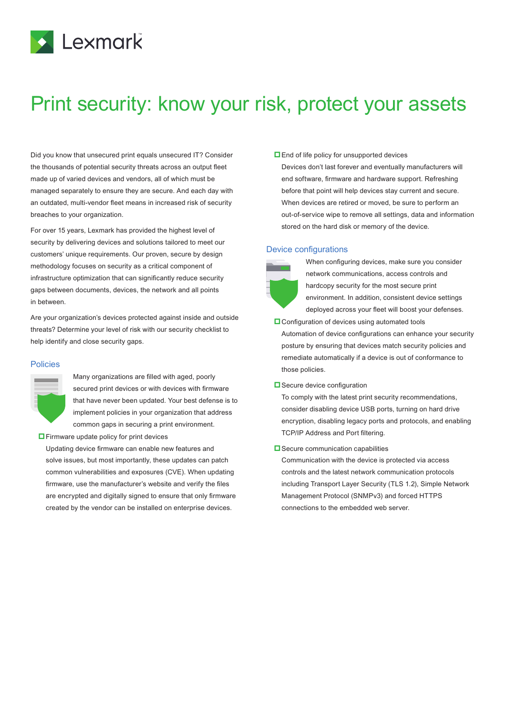

# Print security: know your risk, protect your assets

Did you know that unsecured print equals unsecured IT? Consider the thousands of potential security threats across an output fleet made up of varied devices and vendors, all of which must be managed separately to ensure they are secure. And each day with an outdated, multi-vendor fleet means in increased risk of security breaches to your organization.

For over 15 years, Lexmark has provided the highest level of security by delivering devices and solutions tailored to meet our customers' unique requirements. Our proven, secure by design methodology focuses on security as a critical component of infrastructure optimization that can significantly reduce security gaps between documents, devices, the network and all points in between.

Are your organization's devices protected against inside and outside threats? Determine your level of risk with our security checklist to help identify and close security gaps.

#### **Policies**

Many organizations are filled with aged, poorly secured print devices or with devices with firmware that have never been updated. Your best defense is to implement policies in your organization that address common gaps in securing a print environment.

 $\Box$  Firmware update policy for print devices

Updating device firmware can enable new features and solve issues, but most importantly, these updates can patch common vulnerabilities and exposures (CVE). When updating firmware, use the manufacturer's website and verify the files are encrypted and digitally signed to ensure that only firmware created by the vendor can be installed on enterprise devices.

**End of life policy for unsupported devices** 

Devices don't last forever and eventually manufacturers will end software, firmware and hardware support. Refreshing before that point will help devices stay current and secure. When devices are retired or moved, be sure to perform an out-of-service wipe to remove all settings, data and information stored on the hard disk or memory of the device.

#### Device configurations



When configuring devices, make sure you consider network communications, access controls and hardcopy security for the most secure print environment. In addition, consistent device settings deployed across your fleet will boost your defenses.

**L** Configuration of devices using automated tools Automation of device configurations can enhance your security posture by ensuring that devices match security policies and remediate automatically if a device is out of conformance to those policies.

**□** Secure device configuration

To comply with the latest print security recommendations, consider disabling device USB ports, turning on hard drive encryption, disabling legacy ports and protocols, and enabling TCP/IP Address and Port filtering.

#### $\square$  Secure communication capabilities

Communication with the device is protected via access controls and the latest network communication protocols including Transport Layer Security (TLS 1.2), Simple Network Management Protocol (SNMPv3) and forced HTTPS connections to the embedded web server.